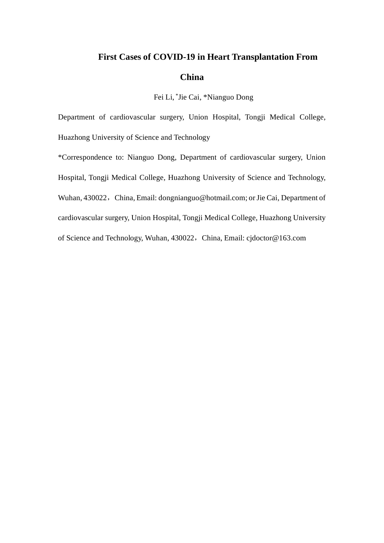## **First Cases of COVID-19 in Heart Transplantation From China**

Fei Li, \* Jie Cai, \*Nianguo Dong

Department of cardiovascular surgery, Union Hospital, Tongji Medical College, Huazhong University of Science and Technology

\*Correspondence to: Nianguo Dong, Department of cardiovascular surgery, Union Hospital, Tongji Medical College, Huazhong University of Science and Technology, Wuhan, 430022, China, Email: [dongnianguo@hotmail.com;](mailto:dongnianguo@hotmail.com) or Jie Cai, Department of cardiovascular surgery, Union Hospital, Tongji Medical College, Huazhong University of Science and Technology, Wuhan, 430022, China, Email: cjdoctor@163.com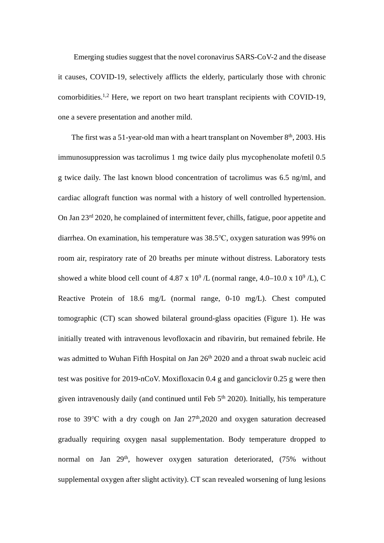Emerging studies suggest that the novel coronavirus SARS-CoV-2 and the disease it causes, COVID-19, selectively afflicts the elderly, particularly those with chronic comorbidities.1,2 Here, we report on two heart transplant recipients with COVID-19, one a severe presentation and another mild.

The first was a 51-year-old man with a heart transplant on November  $8<sup>th</sup>$ , 2003. His immunosuppression was tacrolimus 1 mg twice daily plus mycophenolate mofetil 0.5 g twice daily. The last known blood concentration of tacrolimus was 6.5 ng/ml, and cardiac allograft function was normal with a history of well controlled hypertension. On Jan 23rd 2020, he complained of intermittent fever, chills, fatigue, poor appetite and diarrhea. On examination, his temperature was 38.5℃, oxygen saturation was 99% on room air, respiratory rate of 20 breaths per minute without distress. Laboratory tests showed a white blood cell count of 4.87 x  $10^9$  /L (normal range, 4.0–10.0 x  $10^9$  /L), C Reactive Protein of 18.6 mg/L (normal range, 0-10 mg/L). Chest computed tomographic (CT) scan showed bilateral ground-glass opacities (Figure 1). He was initially treated with intravenous levofloxacin and ribavirin, but remained febrile. He was admitted to Wuhan Fifth Hospital on Jan 26<sup>th</sup> 2020 and a throat swab nucleic acid test was positive for 2019-nCoV. Moxifloxacin 0.4 g and ganciclovir 0.25 g were then given intravenously daily (and continued until Feb  $5<sup>th</sup> 2020$ ). Initially, his temperature rose to 39℃ with a dry cough on Jan 27th,2020 and oxygen saturation decreased gradually requiring oxygen nasal supplementation. Body temperature dropped to normal on Jan 29<sup>th</sup>, however oxygen saturation deteriorated, (75% without supplemental oxygen after slight activity). CT scan revealed worsening of lung lesions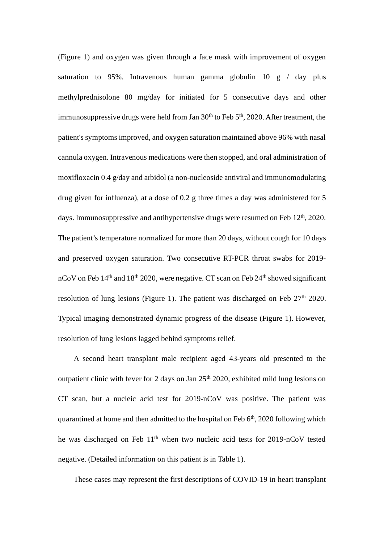(Figure 1) and oxygen was given through a face mask with improvement of oxygen saturation to 95%. Intravenous human gamma globulin  $10 \text{ g}$  / day plus methylprednisolone 80 mg/day for initiated for 5 consecutive days and other immunosuppressive drugs were held from Jan  $30<sup>th</sup>$  to Feb  $5<sup>th</sup>$ , 2020. After treatment, the patient's symptoms improved, and oxygen saturation maintained above 96% with nasal cannula oxygen. Intravenous medications were then stopped, and oral administration of moxifloxacin 0.4 g/day and arbidol (a non-nucleoside antiviral and immunomodulating drug given for influenza), at a dose of 0.2 g three times a day was administered for 5 days. Immunosuppressive and antihypertensive drugs were resumed on Feb 12<sup>th</sup>, 2020. The patient's temperature normalized for more than 20 days, without cough for 10 days and preserved oxygen saturation. Two consecutive RT-PCR throat swabs for 2019 nCoV on Feb  $14<sup>th</sup>$  and  $18<sup>th</sup>$  2020, were negative. CT scan on Feb  $24<sup>th</sup>$  showed significant resolution of lung lesions (Figure 1). The patient was discharged on Feb  $27<sup>th</sup> 2020$ . Typical imaging demonstrated dynamic progress of the disease (Figure 1). However, resolution of lung lesions lagged behind symptoms relief.

A second heart transplant male recipient aged 43-years old presented to the outpatient clinic with fever for 2 days on Jan  $25<sup>th</sup> 2020$ , exhibited mild lung lesions on CT scan, but a nucleic acid test for 2019-nCoV was positive. The patient was quarantined at home and then admitted to the hospital on Feb  $6<sup>th</sup>$ , 2020 following which he was discharged on Feb 11<sup>th</sup> when two nucleic acid tests for 2019-nCoV tested negative. (Detailed information on this patient is in Table 1).

These cases may represent the first descriptions of COVID-19 in heart transplant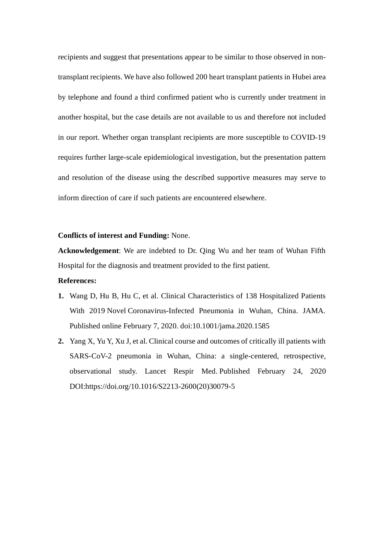recipients and suggest that presentations appear to be similar to those observed in nontransplant recipients. We have also followed 200 heart transplant patients in Hubei area by telephone and found a third confirmed patient who is currently under treatment in another hospital, but the case details are not available to us and therefore not included in our report. Whether organ transplant recipients are more susceptible to COVID-19 requires further large-scale epidemiological investigation, but the presentation pattern and resolution of the disease using the described supportive measures may serve to inform direction of care if such patients are encountered elsewhere.

## **Conflicts of interest and Funding:** None.

**Acknowledgement**: We are indebted to Dr. Qing Wu and her team of Wuhan Fifth Hospital for the diagnosis and treatment provided to the first patient.

## **References:**

- **1.** Wang D, Hu B, Hu C, et al. [Clinical Characteristics of 138 Hospitalized Patients](https://www.ncbi.nlm.nih.gov/pubmed/32031570)  With 2019 Novel [Coronavirus-Infected Pneumonia in Wuhan, China.](https://www.ncbi.nlm.nih.gov/pubmed/32031570) JAMA. Published online February 7, 2020. doi:10.1001/jama.2020.1585
- **2.** [Yang X,](https://www.ncbi.nlm.nih.gov/pubmed/?term=Yang%20X%5BAuthor%5D&cauthor=true&cauthor_uid=32105632) [Yu Y,](https://www.ncbi.nlm.nih.gov/pubmed/?term=Yu%20Y%5BAuthor%5D&cauthor=true&cauthor_uid=32105632) [Xu J,](https://www.ncbi.nlm.nih.gov/pubmed/?term=Xu%20J%5BAuthor%5D&cauthor=true&cauthor_uid=32105632) et al. Clinical course and outcomes of critically ill patients with SARS-CoV-2 pneumonia in Wuhan, China: a single-centered, retrospective, observational study. [Lancet Respir Med.](https://www.ncbi.nlm.nih.gov/pubmed/?term=you+shang+and+lancet) Published February 24, 2020 DOI:https://doi.org/10.1016/S2213-2600(20)30079-5